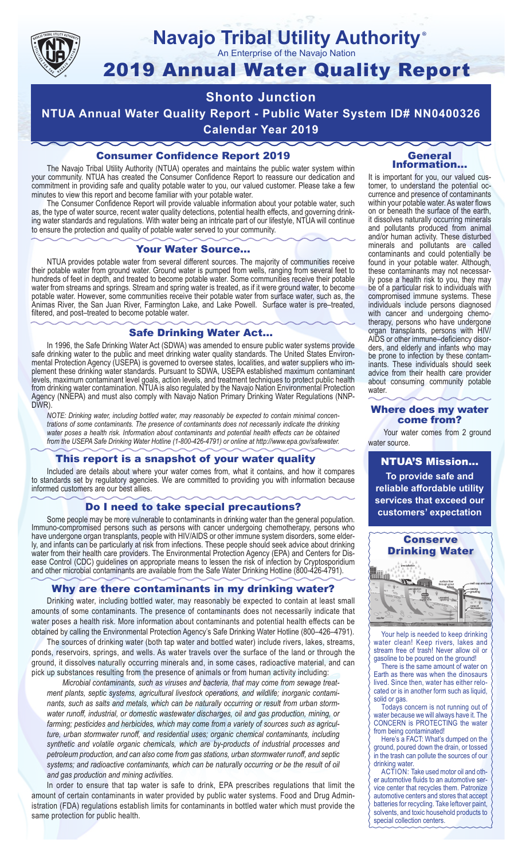

#### **Navajo Tribal Utility Authority** ®

An Enterprise of the Navajo Nation

# 2019 Annual Water Quality Report

# **Shonto Junction**

**NTUA Annual Water Quality Report - Public Water System ID# NN0400326 Calendar Year 2019**

## Consumer Confidence Report 2019

The Navajo Tribal Utility Authority (NTUA) operates and maintains the public water system within your community. NTUA has created the Consumer Confidence Report to reassure our dedication and commitment in providing safe and quality potable water to you, our valued customer. Please take a few minutes to view this report and become familiar with your potable water.

The Consumer Confidence Report will provide valuable information about your potable water, such as, the type of water source, recent water quality detections, potential health effects, and governing drinking water standards and regulations. With water being an intricate part of our lifestyle, NTUA will continue to ensure the protection and quality of potable water served to your community.

#### Your Water Source…

NTUA provides potable water from several different sources. The majority of communities receive their potable water from ground water. Ground water is pumped from wells, ranging from several feet to hundreds of feet in depth, and treated to become potable water. Some communities receive their potable water from streams and springs. Stream and spring water is treated, as if it were ground water, to become potable water. However, some communities receive their potable water from surface water, such as, the Animas River, the San Juan River, Farmington Lake, and Lake Powell. Surface water is pre–treated, filtered, and post–treated to become potable water.

#### Safe Drinking Water Act…

In 1996, the Safe Drinking Water Act (SDWA) was amended to ensure public water systems provide safe drinking water to the public and meet drinking water quality standards. The United States Environmental Protection Agency (USEPA) is governed to oversee states, localities, and water suppliers who implement these drinking water standards. Pursuant to SDWA, USEPA established maximum contaminant levels, maximum contaminant level goals, action levels, and treatment techniques to protect public health from drinking water contamination. NTUA is also regulated by the Navajo Nation Environmental Protection Agency (NNEPA) and must also comply with Navajo Nation Primary Drinking Water Regulations (NNP-DWR)

*NOTE: Drinking water, including bottled water, may reasonably be expected to contain minimal concentrations of some contaminants. The presence of contaminants does not necessarily indicate the drinking water poses a health risk. Information about contaminants and potential health effects can be obtained from the USEPA Safe Drinking Water Hotline (1-800-426-4791) or online at http://www.epa.gov/safewater.*

#### This report is a snapshot of your water quality

Included are details about where your water comes from, what it contains, and how it compares to standards set by regulatory agencies. We are committed to providing you with information because informed customers are our best allies.

#### Do I need to take special precautions?

Some people may be more vulnerable to contaminants in drinking water than the general population. Immuno-compromised persons such as persons with cancer undergoing chemotherapy, persons who have undergone organ transplants, people with HIV/AIDS or other immune system disorders, some elderly, and infants can be particularly at risk from infections. These people should seek advice about drinking water from their health care providers. The Environmental Protection Agency (EPA) and Centers for Disease Control (CDC) guidelines on appropriate means to lessen the risk of infection by Cryptosporidium and other microbial contaminants are available from the Safe Water Drinking Hotline (800-426-4791).

## Why are there contaminants in my drinking water?

Drinking water, including bottled water, may reasonably be expected to contain at least small amounts of some contaminants. The presence of contaminants does not necessarily indicate that water poses a health risk. More information about contaminants and potential health effects can be obtained by calling the Environmental Protection Agency's Safe Drinking Water Hotline (800–426–4791).

The sources of drinking water (both tap water and bottled water) include rivers, lakes, streams, ponds, reservoirs, springs, and wells. As water travels over the surface of the land or through the ground, it dissolves naturally occurring minerals and, in some cases, radioactive material, and can pick up substances resulting from the presence of animals or from human activity including:

*Microbial contaminants, such as viruses and bacteria, that may come from sewage treatment plants, septic systems, agricultural livestock operations, and wildlife; inorganic contaminants, such as salts and metals, which can be naturally occurring or result from urban stormwater runoff, industrial, or domestic wastewater discharges, oil and gas production, mining, or farming; pesticides and herbicides, which may come from a variety of sources such as agriculture, urban stormwater runoff, and residential uses; organic chemical contaminants, including synthetic and volatile organic chemicals, which are by-products of industrial processes and petroleum production, and can also come from gas stations, urban stormwater runoff, and septic systems; and radioactive contaminants, which can be naturally occurring or be the result of oil and gas production and mining activities.*

In order to ensure that tap water is safe to drink, EPA prescribes regulations that limit the amount of certain contaminants in water provided by public water systems. Food and Drug Administration (FDA) regulations establish limits for contaminants in bottled water which must provide the same protection for public health.

#### General Information…

It is important for you, our valued customer, to understand the potential occurrence and presence of contaminants within your potable water. As water flows on or beneath the surface of the earth, it dissolves naturally occurring minerals and pollutants produced from animal and/or human activity. These disturbed minerals and pollutants are called contaminants and could potentially be found in your potable water. Although, these contaminants may not necessarily pose a health risk to you, they may be of a particular risk to individuals with compromised immune systems. These individuals include persons diagnosed with cancer and undergoing chemo-<br>therapy, persons who have undergone organ transplants, persons with HIV/ AIDS or other immune–deficiency disor- ders, and elderly and infants who may be prone to infection by these contam- inants. These individuals should seek advice from their health care provider about consuming community potable water.

#### Where does my water come from?

Your water comes from 2 ground water source.

NTUA'S Mission... **To provide safe and reliable affordable utility services that exceed our customers' expectation**



Your help is needed to keep drinking water clean! Keep rivers, lakes and stream free of trash! Never allow oil or gasoline to be poured on the ground!

There is the same amount of water on Earth as there was when the dinosaurs lived. Since then, water has either relocated or is in another form such as liquid, solid or gas.

Todays concern is not running out of water because we will always have it. The CONCERN is PROTECTING the water from being contaminated!

Here's a FACT: What's dumped on the ground, poured down the drain, or tossed in the trash can pollute the sources of our drinking water.

ACTION: Take used motor oil and other automotive fluids to an automotive service center that recycles them. Patronize automotive centers and stores that accept batteries for recycling. Take leftover paint, solvents, and toxic household products to special collection centers.